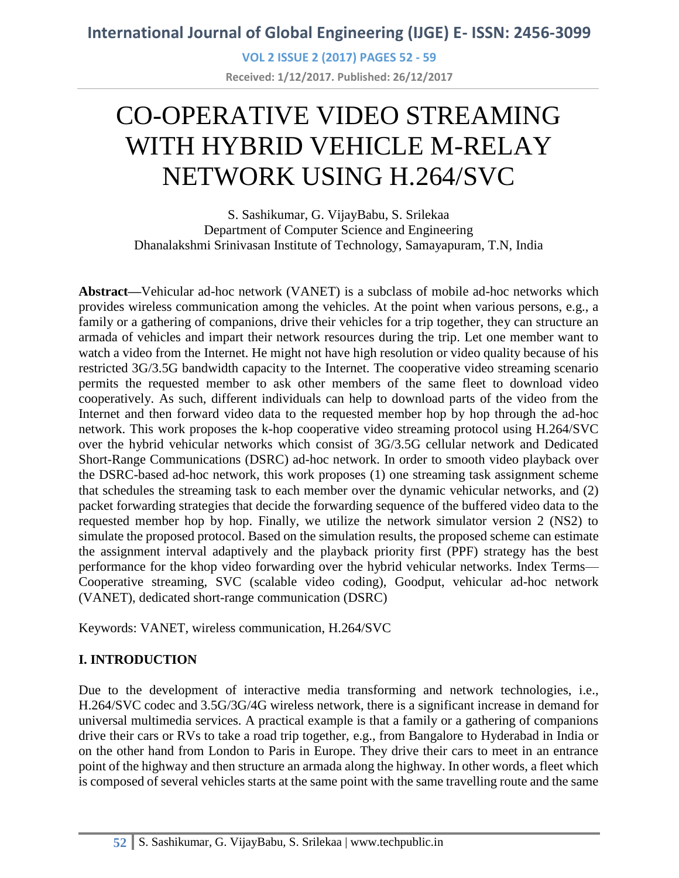**VOL 2 ISSUE 2 (2017) PAGES 52 - 59 Received: 1/12/2017. Published: 26/12/2017**

# CO-OPERATIVE VIDEO STREAMING WITH HYBRID VEHICLE M-RELAY NETWORK USING H.264/SVC

S. Sashikumar, G. VijayBabu, S. Srilekaa Department of Computer Science and Engineering Dhanalakshmi Srinivasan Institute of Technology, Samayapuram, T.N, India

**Abstract—**Vehicular ad-hoc network (VANET) is a subclass of mobile ad-hoc networks which provides wireless communication among the vehicles. At the point when various persons, e.g., a family or a gathering of companions, drive their vehicles for a trip together, they can structure an armada of vehicles and impart their network resources during the trip. Let one member want to watch a video from the Internet. He might not have high resolution or video quality because of his restricted 3G/3.5G bandwidth capacity to the Internet. The cooperative video streaming scenario permits the requested member to ask other members of the same fleet to download video cooperatively. As such, different individuals can help to download parts of the video from the Internet and then forward video data to the requested member hop by hop through the ad-hoc network. This work proposes the k-hop cooperative video streaming protocol using H.264/SVC over the hybrid vehicular networks which consist of 3G/3.5G cellular network and Dedicated Short-Range Communications (DSRC) ad-hoc network. In order to smooth video playback over the DSRC-based ad-hoc network, this work proposes (1) one streaming task assignment scheme that schedules the streaming task to each member over the dynamic vehicular networks, and (2) packet forwarding strategies that decide the forwarding sequence of the buffered video data to the requested member hop by hop. Finally, we utilize the network simulator version 2 (NS2) to simulate the proposed protocol. Based on the simulation results, the proposed scheme can estimate the assignment interval adaptively and the playback priority first (PPF) strategy has the best performance for the khop video forwarding over the hybrid vehicular networks. Index Terms— Cooperative streaming, SVC (scalable video coding), Goodput, vehicular ad-hoc network (VANET), dedicated short-range communication (DSRC)

Keywords: VANET, wireless communication, H.264/SVC

### **I. INTRODUCTION**

Due to the development of interactive media transforming and network technologies, i.e., H.264/SVC codec and 3.5G/3G/4G wireless network, there is a significant increase in demand for universal multimedia services. A practical example is that a family or a gathering of companions drive their cars or RVs to take a road trip together, e.g., from Bangalore to Hyderabad in India or on the other hand from London to Paris in Europe. They drive their cars to meet in an entrance point of the highway and then structure an armada along the highway. In other words, a fleet which is composed of several vehicles starts at the same point with the same travelling route and the same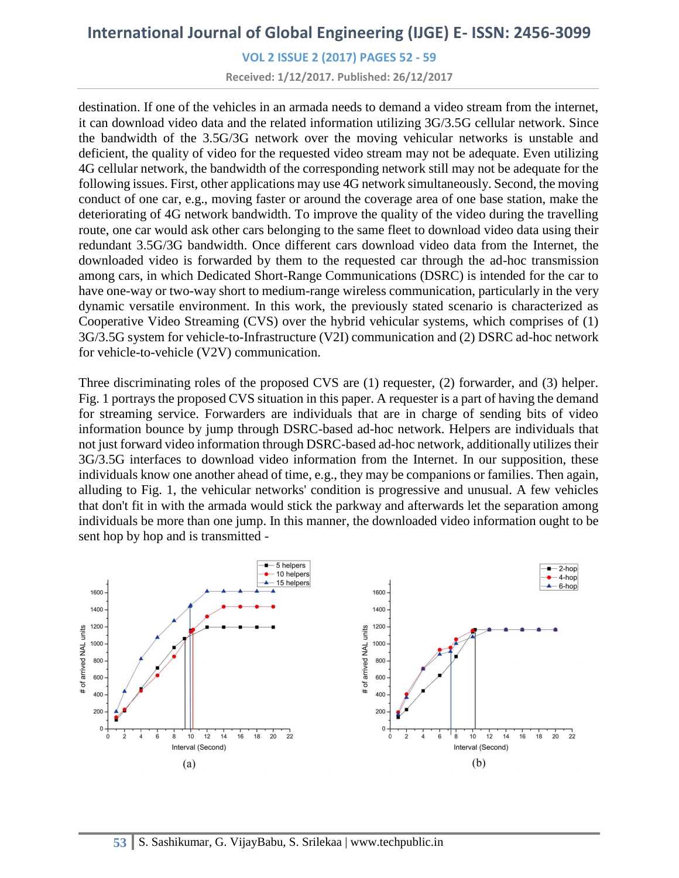**VOL 2 ISSUE 2 (2017) PAGES 52 - 59**

**Received: 1/12/2017. Published: 26/12/2017**

destination. If one of the vehicles in an armada needs to demand a video stream from the internet, it can download video data and the related information utilizing 3G/3.5G cellular network. Since the bandwidth of the 3.5G/3G network over the moving vehicular networks is unstable and deficient, the quality of video for the requested video stream may not be adequate. Even utilizing 4G cellular network, the bandwidth of the corresponding network still may not be adequate for the following issues. First, other applications may use 4G network simultaneously. Second, the moving conduct of one car, e.g., moving faster or around the coverage area of one base station, make the deteriorating of 4G network bandwidth. To improve the quality of the video during the travelling route, one car would ask other cars belonging to the same fleet to download video data using their redundant 3.5G/3G bandwidth. Once different cars download video data from the Internet, the downloaded video is forwarded by them to the requested car through the ad-hoc transmission among cars, in which Dedicated Short-Range Communications (DSRC) is intended for the car to have one-way or two-way short to medium-range wireless communication, particularly in the very dynamic versatile environment. In this work, the previously stated scenario is characterized as Cooperative Video Streaming (CVS) over the hybrid vehicular systems, which comprises of (1) 3G/3.5G system for vehicle-to-Infrastructure (V2I) communication and (2) DSRC ad-hoc network for vehicle-to-vehicle (V2V) communication.

Three discriminating roles of the proposed CVS are (1) requester, (2) forwarder, and (3) helper. Fig. 1 portrays the proposed CVS situation in this paper. A requester is a part of having the demand for streaming service. Forwarders are individuals that are in charge of sending bits of video information bounce by jump through DSRC-based ad-hoc network. Helpers are individuals that not just forward video information through DSRC-based ad-hoc network, additionally utilizes their 3G/3.5G interfaces to download video information from the Internet. In our supposition, these individuals know one another ahead of time, e.g., they may be companions or families. Then again, alluding to Fig. 1, the vehicular networks' condition is progressive and unusual. A few vehicles that don't fit in with the armada would stick the parkway and afterwards let the separation among individuals be more than one jump. In this manner, the downloaded video information ought to be sent hop by hop and is transmitted -

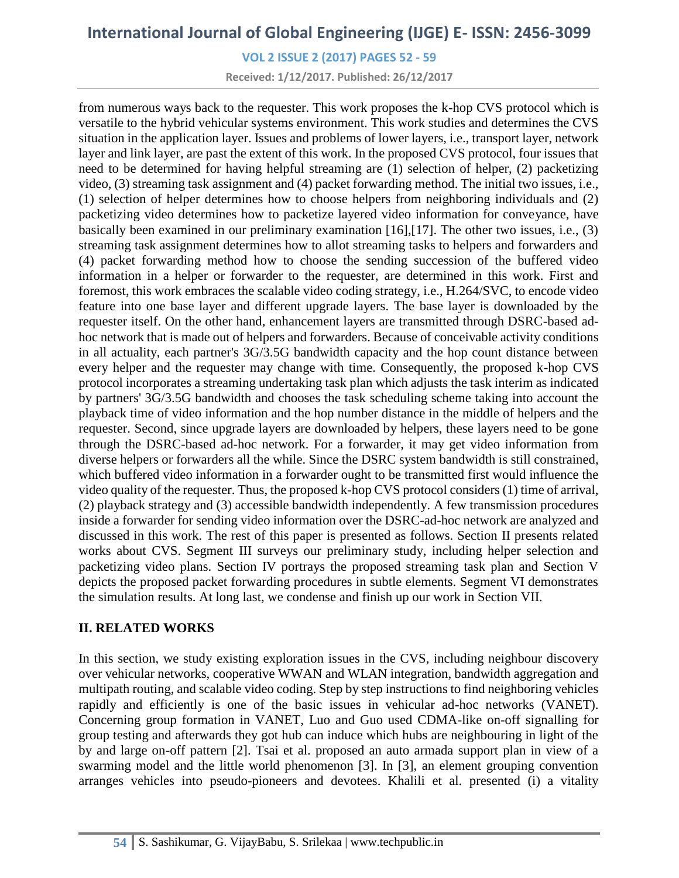**VOL 2 ISSUE 2 (2017) PAGES 52 - 59**

**Received: 1/12/2017. Published: 26/12/2017**

from numerous ways back to the requester. This work proposes the k-hop CVS protocol which is versatile to the hybrid vehicular systems environment. This work studies and determines the CVS situation in the application layer. Issues and problems of lower layers, i.e., transport layer, network layer and link layer, are past the extent of this work. In the proposed CVS protocol, four issues that need to be determined for having helpful streaming are (1) selection of helper, (2) packetizing video, (3) streaming task assignment and (4) packet forwarding method. The initial two issues, i.e., (1) selection of helper determines how to choose helpers from neighboring individuals and (2) packetizing video determines how to packetize layered video information for conveyance, have basically been examined in our preliminary examination [16],[17]. The other two issues, i.e., (3) streaming task assignment determines how to allot streaming tasks to helpers and forwarders and (4) packet forwarding method how to choose the sending succession of the buffered video information in a helper or forwarder to the requester, are determined in this work. First and foremost, this work embraces the scalable video coding strategy, i.e., H.264/SVC, to encode video feature into one base layer and different upgrade layers. The base layer is downloaded by the requester itself. On the other hand, enhancement layers are transmitted through DSRC-based adhoc network that is made out of helpers and forwarders. Because of conceivable activity conditions in all actuality, each partner's 3G/3.5G bandwidth capacity and the hop count distance between every helper and the requester may change with time. Consequently, the proposed k-hop CVS protocol incorporates a streaming undertaking task plan which adjusts the task interim as indicated by partners' 3G/3.5G bandwidth and chooses the task scheduling scheme taking into account the playback time of video information and the hop number distance in the middle of helpers and the requester. Second, since upgrade layers are downloaded by helpers, these layers need to be gone through the DSRC-based ad-hoc network. For a forwarder, it may get video information from diverse helpers or forwarders all the while. Since the DSRC system bandwidth is still constrained, which buffered video information in a forwarder ought to be transmitted first would influence the video quality of the requester. Thus, the proposed k-hop CVS protocol considers (1) time of arrival, (2) playback strategy and (3) accessible bandwidth independently. A few transmission procedures inside a forwarder for sending video information over the DSRC-ad-hoc network are analyzed and discussed in this work. The rest of this paper is presented as follows. Section II presents related works about CVS. Segment III surveys our preliminary study, including helper selection and packetizing video plans. Section IV portrays the proposed streaming task plan and Section V depicts the proposed packet forwarding procedures in subtle elements. Segment VI demonstrates the simulation results. At long last, we condense and finish up our work in Section VII.

#### **II. RELATED WORKS**

In this section, we study existing exploration issues in the CVS, including neighbour discovery over vehicular networks, cooperative WWAN and WLAN integration, bandwidth aggregation and multipath routing, and scalable video coding. Step by step instructions to find neighboring vehicles rapidly and efficiently is one of the basic issues in vehicular ad-hoc networks (VANET). Concerning group formation in VANET, Luo and Guo used CDMA-like on-off signalling for group testing and afterwards they got hub can induce which hubs are neighbouring in light of the by and large on-off pattern [2]. Tsai et al. proposed an auto armada support plan in view of a swarming model and the little world phenomenon [3]. In [3], an element grouping convention arranges vehicles into pseudo-pioneers and devotees. Khalili et al. presented (i) a vitality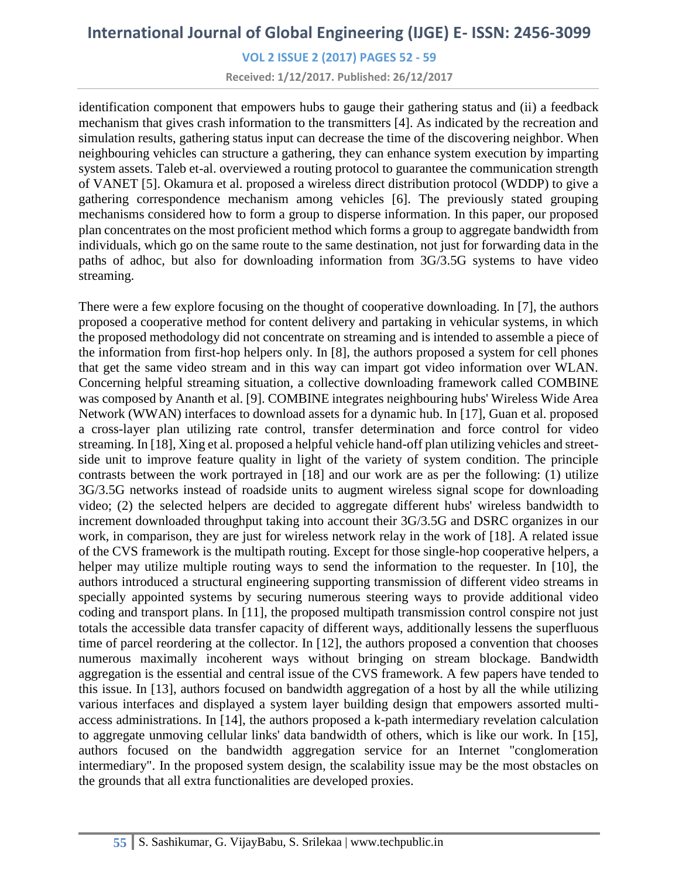**VOL 2 ISSUE 2 (2017) PAGES 52 - 59**

**Received: 1/12/2017. Published: 26/12/2017**

identification component that empowers hubs to gauge their gathering status and (ii) a feedback mechanism that gives crash information to the transmitters [4]. As indicated by the recreation and simulation results, gathering status input can decrease the time of the discovering neighbor. When neighbouring vehicles can structure a gathering, they can enhance system execution by imparting system assets. Taleb et-al. overviewed a routing protocol to guarantee the communication strength of VANET [5]. Okamura et al. proposed a wireless direct distribution protocol (WDDP) to give a gathering correspondence mechanism among vehicles [6]. The previously stated grouping mechanisms considered how to form a group to disperse information. In this paper, our proposed plan concentrates on the most proficient method which forms a group to aggregate bandwidth from individuals, which go on the same route to the same destination, not just for forwarding data in the paths of adhoc, but also for downloading information from 3G/3.5G systems to have video streaming.

There were a few explore focusing on the thought of cooperative downloading. In [7], the authors proposed a cooperative method for content delivery and partaking in vehicular systems, in which the proposed methodology did not concentrate on streaming and is intended to assemble a piece of the information from first-hop helpers only. In [8], the authors proposed a system for cell phones that get the same video stream and in this way can impart got video information over WLAN. Concerning helpful streaming situation, a collective downloading framework called COMBINE was composed by Ananth et al. [9]. COMBINE integrates neighbouring hubs' Wireless Wide Area Network (WWAN) interfaces to download assets for a dynamic hub. In [17], Guan et al. proposed a cross-layer plan utilizing rate control, transfer determination and force control for video streaming. In [18], Xing et al. proposed a helpful vehicle hand-off plan utilizing vehicles and streetside unit to improve feature quality in light of the variety of system condition. The principle contrasts between the work portrayed in [18] and our work are as per the following: (1) utilize 3G/3.5G networks instead of roadside units to augment wireless signal scope for downloading video; (2) the selected helpers are decided to aggregate different hubs' wireless bandwidth to increment downloaded throughput taking into account their 3G/3.5G and DSRC organizes in our work, in comparison, they are just for wireless network relay in the work of [18]. A related issue of the CVS framework is the multipath routing. Except for those single-hop cooperative helpers, a helper may utilize multiple routing ways to send the information to the requester. In [10], the authors introduced a structural engineering supporting transmission of different video streams in specially appointed systems by securing numerous steering ways to provide additional video coding and transport plans. In [11], the proposed multipath transmission control conspire not just totals the accessible data transfer capacity of different ways, additionally lessens the superfluous time of parcel reordering at the collector. In [12], the authors proposed a convention that chooses numerous maximally incoherent ways without bringing on stream blockage. Bandwidth aggregation is the essential and central issue of the CVS framework. A few papers have tended to this issue. In [13], authors focused on bandwidth aggregation of a host by all the while utilizing various interfaces and displayed a system layer building design that empowers assorted multiaccess administrations. In [14], the authors proposed a k-path intermediary revelation calculation to aggregate unmoving cellular links' data bandwidth of others, which is like our work. In [15], authors focused on the bandwidth aggregation service for an Internet "conglomeration intermediary". In the proposed system design, the scalability issue may be the most obstacles on the grounds that all extra functionalities are developed proxies.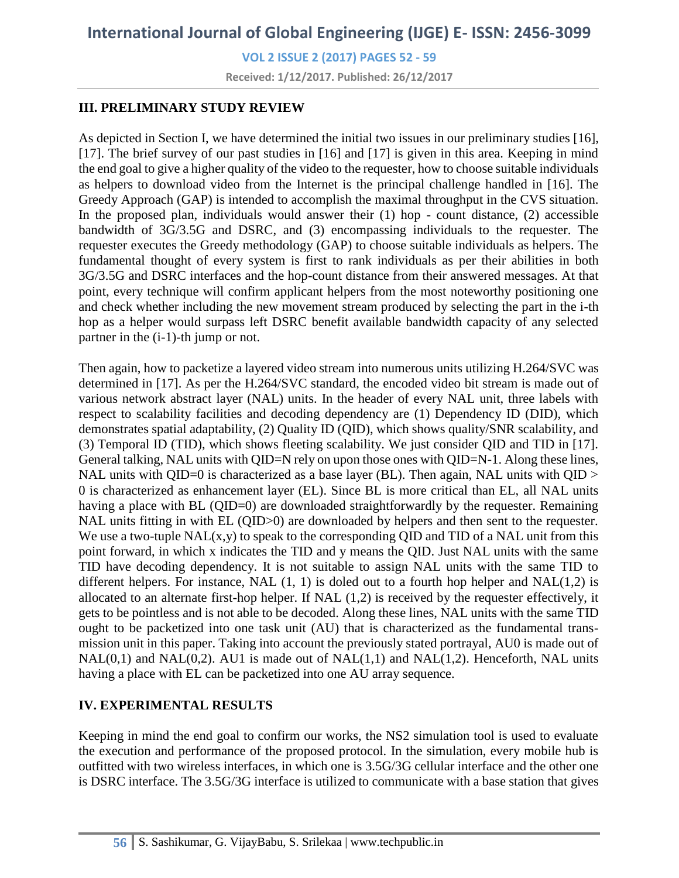**VOL 2 ISSUE 2 (2017) PAGES 52 - 59**

**Received: 1/12/2017. Published: 26/12/2017**

#### **III. PRELIMINARY STUDY REVIEW**

As depicted in Section I, we have determined the initial two issues in our preliminary studies [16], [17]. The brief survey of our past studies in [16] and [17] is given in this area. Keeping in mind the end goal to give a higher quality of the video to the requester, how to choose suitable individuals as helpers to download video from the Internet is the principal challenge handled in [16]. The Greedy Approach (GAP) is intended to accomplish the maximal throughput in the CVS situation. In the proposed plan, individuals would answer their  $(1)$  hop - count distance,  $(2)$  accessible bandwidth of 3G/3.5G and DSRC, and (3) encompassing individuals to the requester. The requester executes the Greedy methodology (GAP) to choose suitable individuals as helpers. The fundamental thought of every system is first to rank individuals as per their abilities in both 3G/3.5G and DSRC interfaces and the hop-count distance from their answered messages. At that point, every technique will confirm applicant helpers from the most noteworthy positioning one and check whether including the new movement stream produced by selecting the part in the i-th hop as a helper would surpass left DSRC benefit available bandwidth capacity of any selected partner in the (i-1)-th jump or not.

Then again, how to packetize a layered video stream into numerous units utilizing H.264/SVC was determined in [17]. As per the H.264/SVC standard, the encoded video bit stream is made out of various network abstract layer (NAL) units. In the header of every NAL unit, three labels with respect to scalability facilities and decoding dependency are (1) Dependency ID (DID), which demonstrates spatial adaptability, (2) Quality ID (QID), which shows quality/SNR scalability, and (3) Temporal ID (TID), which shows fleeting scalability. We just consider QID and TID in [17]. General talking, NAL units with QID=N rely on upon those ones with QID=N-1. Along these lines, NAL units with QID=0 is characterized as a base layer (BL). Then again, NAL units with  $QID$  > 0 is characterized as enhancement layer (EL). Since BL is more critical than EL, all NAL units having a place with BL (QID=0) are downloaded straightforwardly by the requester. Remaining NAL units fitting in with EL (QID>0) are downloaded by helpers and then sent to the requester. We use a two-tuple  $NAL(x, y)$  to speak to the corresponding QID and TID of a NAL unit from this point forward, in which x indicates the TID and y means the QID. Just NAL units with the same TID have decoding dependency. It is not suitable to assign NAL units with the same TID to different helpers. For instance, NAL  $(1, 1)$  is doled out to a fourth hop helper and NAL $(1, 2)$  is allocated to an alternate first-hop helper. If NAL (1,2) is received by the requester effectively, it gets to be pointless and is not able to be decoded. Along these lines, NAL units with the same TID ought to be packetized into one task unit (AU) that is characterized as the fundamental transmission unit in this paper. Taking into account the previously stated portrayal, AU0 is made out of  $NAL(0,1)$  and  $NAL(0,2)$ . AU1 is made out of  $NAL(1,1)$  and  $NAL(1,2)$ . Henceforth, NAL units having a place with EL can be packetized into one AU array sequence.

### **IV. EXPERIMENTAL RESULTS**

Keeping in mind the end goal to confirm our works, the NS2 simulation tool is used to evaluate the execution and performance of the proposed protocol. In the simulation, every mobile hub is outfitted with two wireless interfaces, in which one is 3.5G/3G cellular interface and the other one is DSRC interface. The 3.5G/3G interface is utilized to communicate with a base station that gives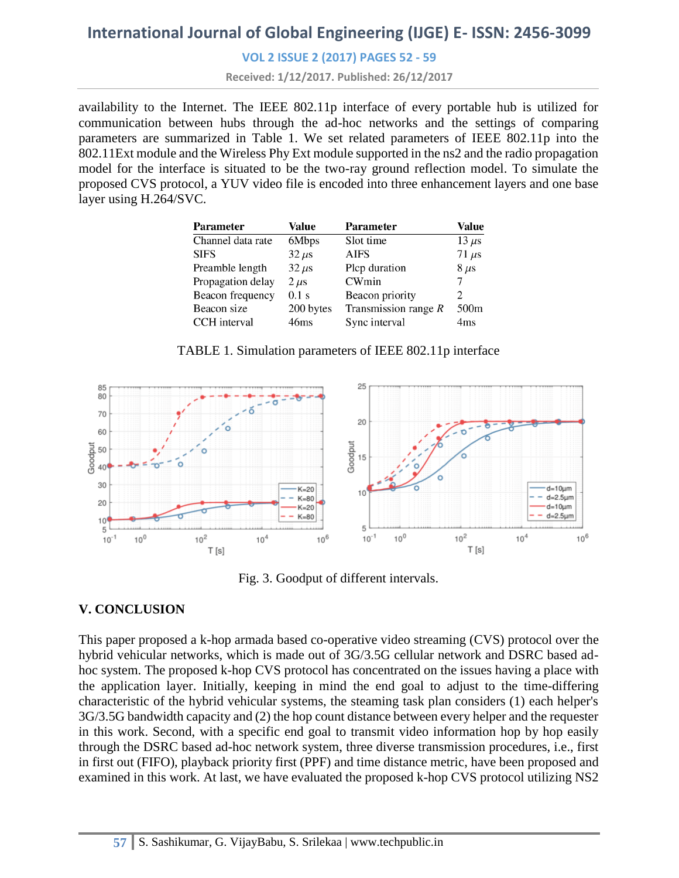#### **VOL 2 ISSUE 2 (2017) PAGES 52 - 59**

**Received: 1/12/2017. Published: 26/12/2017**

availability to the Internet. The IEEE 802.11p interface of every portable hub is utilized for communication between hubs through the ad-hoc networks and the settings of comparing parameters are summarized in Table 1. We set related parameters of IEEE 802.11p into the 802.11Ext module and the Wireless Phy Ext module supported in the ns2 and the radio propagation model for the interface is situated to be the two-ray ground reflection model. To simulate the proposed CVS protocol, a YUV video file is encoded into three enhancement layers and one base layer using H.264/SVC.

| <b>Parameter</b>  | Value            | Parameter              | Value            |
|-------------------|------------------|------------------------|------------------|
| Channel data rate | 6Mbps            | Slot time              | $13 \mu s$       |
| <b>SIFS</b>       | $32 \mu s$       | <b>AIFS</b>            | $71 \mu s$       |
| Preamble length   | $32 \mu s$       | Plcp duration          | $8 \mu s$        |
| Propagation delay | $2 \mu s$        | CWmin                  |                  |
| Beacon frequency  | $0.1$ s          | Beacon priority        | 2                |
| Beacon size       | 200 bytes        | Transmission range $R$ | 500 <sub>m</sub> |
| CCH interval      | 46 <sub>ms</sub> | Sync interval          | 4ms              |

TABLE 1. Simulation parameters of IEEE 802.11p interface



Fig. 3. Goodput of different intervals.

### **V. CONCLUSION**

This paper proposed a k-hop armada based co-operative video streaming (CVS) protocol over the hybrid vehicular networks, which is made out of 3G/3.5G cellular network and DSRC based adhoc system. The proposed k-hop CVS protocol has concentrated on the issues having a place with the application layer. Initially, keeping in mind the end goal to adjust to the time-differing characteristic of the hybrid vehicular systems, the steaming task plan considers (1) each helper's 3G/3.5G bandwidth capacity and (2) the hop count distance between every helper and the requester in this work. Second, with a specific end goal to transmit video information hop by hop easily through the DSRC based ad-hoc network system, three diverse transmission procedures, i.e., first in first out (FIFO), playback priority first (PPF) and time distance metric, have been proposed and examined in this work. At last, we have evaluated the proposed k-hop CVS protocol utilizing NS2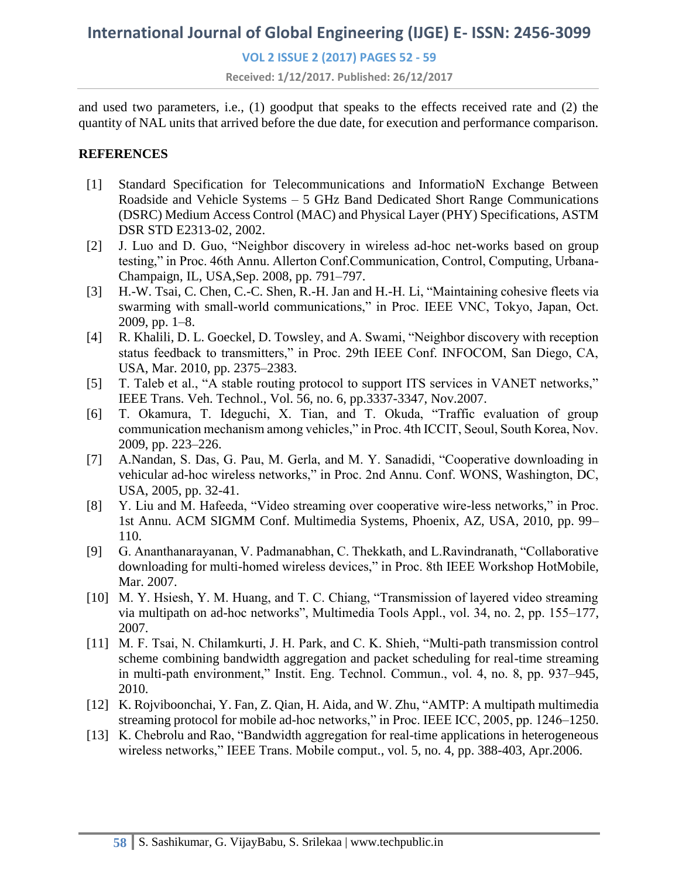**VOL 2 ISSUE 2 (2017) PAGES 52 - 59**

**Received: 1/12/2017. Published: 26/12/2017**

and used two parameters, i.e., (1) goodput that speaks to the effects received rate and (2) the quantity of NAL units that arrived before the due date, for execution and performance comparison.

#### **REFERENCES**

- [1] Standard Specification for Telecommunications and InformatioN Exchange Between Roadside and Vehicle Systems – 5 GHz Band Dedicated Short Range Communications (DSRC) Medium Access Control (MAC) and Physical Layer (PHY) Specifications, ASTM DSR STD E2313-02, 2002.
- [2] J. Luo and D. Guo, "Neighbor discovery in wireless ad-hoc net-works based on group testing," in Proc. 46th Annu. Allerton Conf.Communication, Control, Computing, Urbana-Champaign, IL, USA,Sep. 2008, pp. 791–797.
- [3] H.-W. Tsai, C. Chen, C.-C. Shen, R.-H. Jan and H.-H. Li, "Maintaining cohesive fleets via swarming with small-world communications," in Proc. IEEE VNC, Tokyo, Japan, Oct. 2009, pp. 1–8.
- [4] R. Khalili, D. L. Goeckel, D. Towsley, and A. Swami, "Neighbor discovery with reception status feedback to transmitters," in Proc. 29th IEEE Conf. INFOCOM, San Diego, CA, USA, Mar. 2010, pp. 2375–2383.
- [5] T. Taleb et al., "A stable routing protocol to support ITS services in VANET networks," IEEE Trans. Veh. Technol., Vol. 56, no. 6, pp.3337-3347, Nov.2007.
- [6] T. Okamura, T. Ideguchi, X. Tian, and T. Okuda, "Traffic evaluation of group communication mechanism among vehicles," in Proc. 4th ICCIT, Seoul, South Korea, Nov. 2009, pp. 223–226.
- [7] A.Nandan, S. Das, G. Pau, M. Gerla, and M. Y. Sanadidi, "Cooperative downloading in vehicular ad-hoc wireless networks," in Proc. 2nd Annu. Conf. WONS, Washington, DC, USA, 2005, pp. 32-41.
- [8] Y. Liu and M. Hafeeda, "Video streaming over cooperative wire-less networks," in Proc. 1st Annu. ACM SIGMM Conf. Multimedia Systems, Phoenix, AZ, USA, 2010, pp. 99– 110.
- [9] G. Ananthanarayanan, V. Padmanabhan, C. Thekkath, and L.Ravindranath, "Collaborative downloading for multi-homed wireless devices," in Proc. 8th IEEE Workshop HotMobile, Mar. 2007.
- [10] M. Y. Hsiesh, Y. M. Huang, and T. C. Chiang, "Transmission of layered video streaming via multipath on ad-hoc networks", Multimedia Tools Appl., vol. 34, no. 2, pp. 155–177, 2007.
- [11] M. F. Tsai, N. Chilamkurti, J. H. Park, and C. K. Shieh, "Multi-path transmission control scheme combining bandwidth aggregation and packet scheduling for real-time streaming in multi-path environment," Instit. Eng. Technol. Commun., vol. 4, no. 8, pp. 937–945, 2010.
- [12] K. Rojviboonchai, Y. Fan, Z. Qian, H. Aida, and W. Zhu, "AMTP: A multipath multimedia streaming protocol for mobile ad-hoc networks," in Proc. IEEE ICC, 2005, pp. 1246–1250.
- [13] K. Chebrolu and Rao, "Bandwidth aggregation for real-time applications in heterogeneous wireless networks," IEEE Trans. Mobile comput., vol. 5, no. 4, pp. 388-403, Apr.2006.